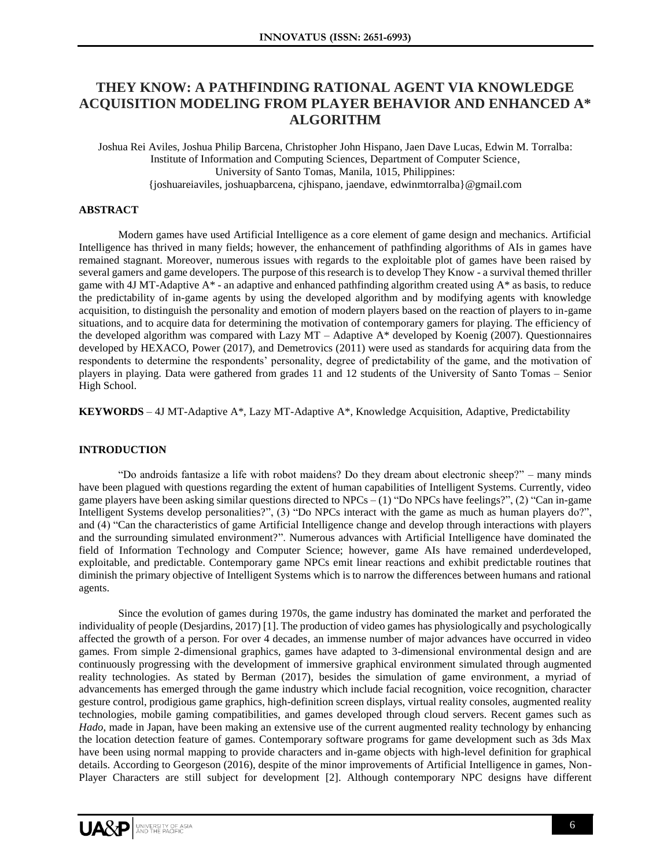# **THEY KNOW: A PATHFINDING RATIONAL AGENT VIA KNOWLEDGE ACQUISITION MODELING FROM PLAYER BEHAVIOR AND ENHANCED A\* ALGORITHM**

Joshua Rei Aviles, Joshua Philip Barcena, Christopher John Hispano, Jaen Dave Lucas, Edwin M. Torralba: Institute of Information and Computing Sciences, Department of Computer Science, University of Santo Tomas, Manila, 1015, Philippines: {joshuareiaviles, joshuapbarcena, cjhispano, jaendave, edwinmtorralba}@gmail.com

## **ABSTRACT**

Modern games have used Artificial Intelligence as a core element of game design and mechanics. Artificial Intelligence has thrived in many fields; however, the enhancement of pathfinding algorithms of AIs in games have remained stagnant. Moreover, numerous issues with regards to the exploitable plot of games have been raised by several gamers and game developers. The purpose of this research is to develop They Know - a survival themed thriller game with 4J MT-Adaptive  $A^*$  - an adaptive and enhanced pathfinding algorithm created using  $A^*$  as basis, to reduce the predictability of in-game agents by using the developed algorithm and by modifying agents with knowledge acquisition, to distinguish the personality and emotion of modern players based on the reaction of players to in-game situations, and to acquire data for determining the motivation of contemporary gamers for playing. The efficiency of the developed algorithm was compared with Lazy MT – Adaptive A\* developed by Koenig (2007). Questionnaires developed by HEXACO, Power (2017), and Demetrovics (2011) were used as standards for acquiring data from the respondents to determine the respondents' personality, degree of predictability of the game, and the motivation of players in playing. Data were gathered from grades 11 and 12 students of the University of Santo Tomas – Senior High School.

**KEYWORDS** – 4J MT-Adaptive A\*, Lazy MT-Adaptive A\*, Knowledge Acquisition, Adaptive, Predictability

# **INTRODUCTION**

"Do androids fantasize a life with robot maidens? Do they dream about electronic sheep?" – many minds have been plagued with questions regarding the extent of human capabilities of Intelligent Systems. Currently, video game players have been asking similar questions directed to NPCs  $-(1)$  "Do NPCs have feelings?", (2) "Can in-game Intelligent Systems develop personalities?", (3) "Do NPCs interact with the game as much as human players do?", and (4) "Can the characteristics of game Artificial Intelligence change and develop through interactions with players and the surrounding simulated environment?". Numerous advances with Artificial Intelligence have dominated the field of Information Technology and Computer Science; however, game AIs have remained underdeveloped, exploitable, and predictable. Contemporary game NPCs emit linear reactions and exhibit predictable routines that diminish the primary objective of Intelligent Systems which is to narrow the differences between humans and rational agents.

Since the evolution of games during 1970s, the game industry has dominated the market and perforated the individuality of people (Desjardins, 2017) [1]. The production of video games has physiologically and psychologically affected the growth of a person. For over 4 decades, an immense number of major advances have occurred in video games. From simple 2-dimensional graphics, games have adapted to 3-dimensional environmental design and are continuously progressing with the development of immersive graphical environment simulated through augmented reality technologies. As stated by Berman (2017), besides the simulation of game environment, a myriad of advancements has emerged through the game industry which include facial recognition, voice recognition, character gesture control, prodigious game graphics, high-definition screen displays, virtual reality consoles, augmented reality technologies, mobile gaming compatibilities, and games developed through cloud servers. Recent games such as *Hado*, made in Japan, have been making an extensive use of the current augmented reality technology by enhancing the location detection feature of games. Contemporary software programs for game development such as 3ds Max have been using normal mapping to provide characters and in-game objects with high-level definition for graphical details. According to Georgeson (2016), despite of the minor improvements of Artificial Intelligence in games, Non-Player Characters are still subject for development [2]. Although contemporary NPC designs have different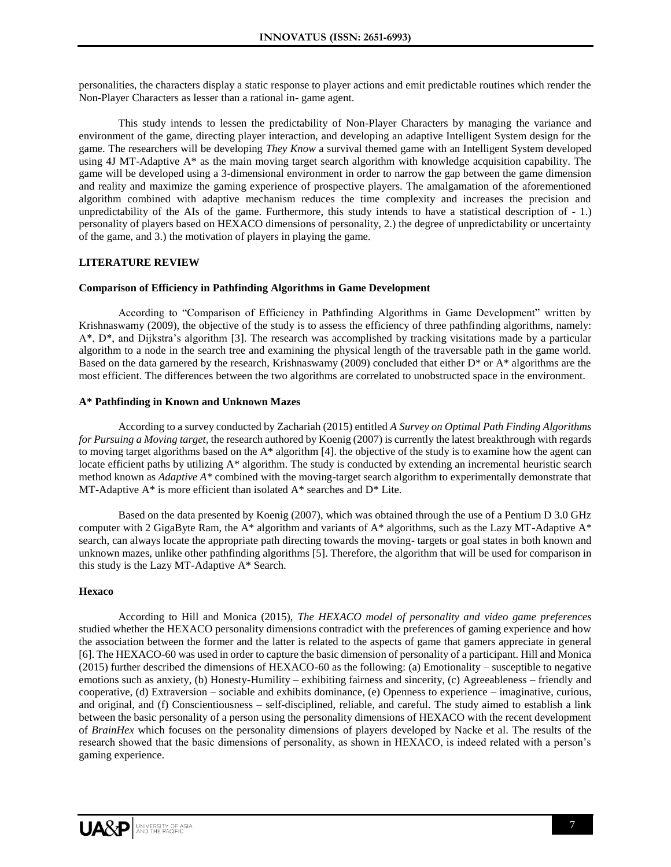personalities, the characters display a static response to player actions and emit predictable routines which render the Non-Player Characters as lesser than a rational in- game agent.

This study intends to lessen the predictability of Non-Player Characters by managing the variance and environment of the game, directing player interaction, and developing an adaptive Intelligent System design for the game. The researchers will be developing *They Know* a survival themed game with an Intelligent System developed using 4J MT-Adaptive A\* as the main moving target search algorithm with knowledge acquisition capability. The game will be developed using a 3-dimensional environment in order to narrow the gap between the game dimension and reality and maximize the gaming experience of prospective players. The amalgamation of the aforementioned algorithm combined with adaptive mechanism reduces the time complexity and increases the precision and unpredictability of the AIs of the game. Furthermore, this study intends to have a statistical description of - 1.) personality of players based on HEXACO dimensions of personality, 2.) the degree of unpredictability or uncertainty of the game, and 3.) the motivation of players in playing the game.

# **LITERATURE REVIEW**

#### **Comparison of Efficiency in Pathfinding Algorithms in Game Development**

According to "Comparison of Efficiency in Pathfinding Algorithms in Game Development" written by Krishnaswamy (2009), the objective of the study is to assess the efficiency of three pathfinding algorithms, namely: A\*, D\*, and Dijkstra's algorithm [3]. The research was accomplished by tracking visitations made by a particular algorithm to a node in the search tree and examining the physical length of the traversable path in the game world. Based on the data garnered by the research, Krishnaswamy (2009) concluded that either  $D^*$  or A\* algorithms are the most efficient. The differences between the two algorithms are correlated to unobstructed space in the environment.

## **A\* Pathfinding in Known and Unknown Mazes**

According to a survey conducted by Zachariah (2015) entitled *A Survey on Optimal Path Finding Algorithms for Pursuing a Moving target,* the research authored by Koenig (2007) is currently the latest breakthrough with regards to moving target algorithms based on the A\* algorithm [4]. the objective of the study is to examine how the agent can locate efficient paths by utilizing A\* algorithm. The study is conducted by extending an incremental heuristic search method known as *Adaptive A\** combined with the moving-target search algorithm to experimentally demonstrate that MT-Adaptive A\* is more efficient than isolated A\* searches and D\* Lite.

Based on the data presented by Koenig (2007), which was obtained through the use of a Pentium D 3.0 GHz computer with 2 GigaByte Ram, the A\* algorithm and variants of A\* algorithms, such as the Lazy MT-Adaptive A\* search, can always locate the appropriate path directing towards the moving- targets or goal states in both known and unknown mazes, unlike other pathfinding algorithms [5]. Therefore, the algorithm that will be used for comparison in this study is the Lazy MT-Adaptive A\* Search.

#### **Hexaco**

According to Hill and Monica (2015), *The HEXACO model of personality and video game preferences*  studied whether the HEXACO personality dimensions contradict with the preferences of gaming experience and how the association between the former and the latter is related to the aspects of game that gamers appreciate in general [6]. The HEXACO-60 was used in order to capture the basic dimension of personality of a participant. Hill and Monica (2015) further described the dimensions of HEXACO-60 as the following: (a) Emotionality – susceptible to negative emotions such as anxiety, (b) Honesty-Humility – exhibiting fairness and sincerity, (c) Agreeableness – friendly and cooperative, (d) Extraversion – sociable and exhibits dominance, (e) Openness to experience – imaginative, curious, and original, and (f) Conscientiousness – self-disciplined, reliable, and careful. The study aimed to establish a link between the basic personality of a person using the personality dimensions of HEXACO with the recent development of *BrainHex* which focuses on the personality dimensions of players developed by Nacke et al. The results of the research showed that the basic dimensions of personality, as shown in HEXACO, is indeed related with a person's gaming experience.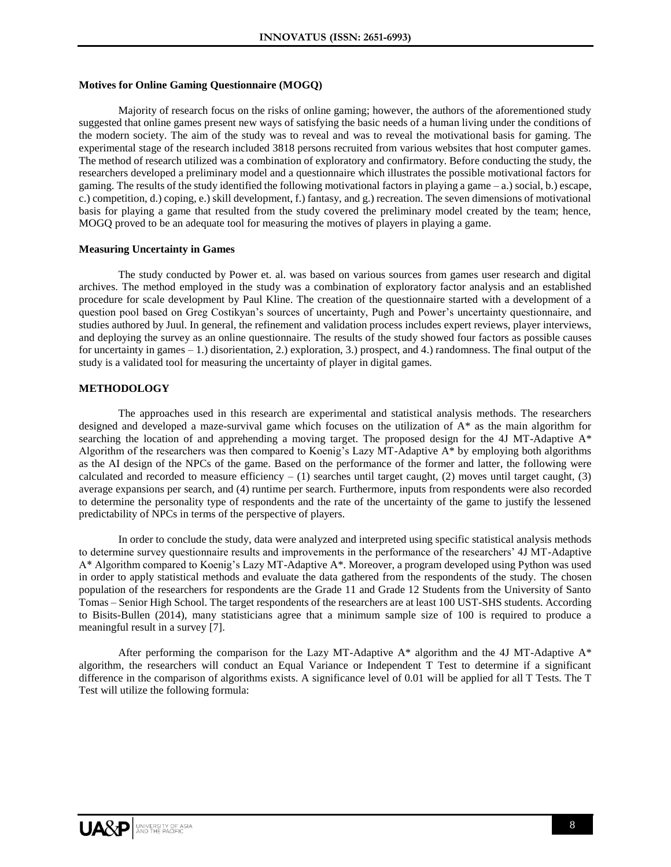## **Motives for Online Gaming Questionnaire (MOGQ)**

Majority of research focus on the risks of online gaming; however, the authors of the aforementioned study suggested that online games present new ways of satisfying the basic needs of a human living under the conditions of the modern society. The aim of the study was to reveal and was to reveal the motivational basis for gaming. The experimental stage of the research included 3818 persons recruited from various websites that host computer games. The method of research utilized was a combination of exploratory and confirmatory. Before conducting the study, the researchers developed a preliminary model and a questionnaire which illustrates the possible motivational factors for gaming. The results of the study identified the following motivational factors in playing a game  $-$ a.) social, b.) escape, c.) competition, d.) coping, e.) skill development, f.) fantasy, and g.) recreation. The seven dimensions of motivational basis for playing a game that resulted from the study covered the preliminary model created by the team; hence, MOGQ proved to be an adequate tool for measuring the motives of players in playing a game.

#### **Measuring Uncertainty in Games**

The study conducted by Power et. al. was based on various sources from games user research and digital archives. The method employed in the study was a combination of exploratory factor analysis and an established procedure for scale development by Paul Kline. The creation of the questionnaire started with a development of a question pool based on Greg Costikyan's sources of uncertainty, Pugh and Power's uncertainty questionnaire, and studies authored by Juul. In general, the refinement and validation process includes expert reviews, player interviews, and deploying the survey as an online questionnaire. The results of the study showed four factors as possible causes for uncertainty in games – 1.) disorientation, 2.) exploration, 3.) prospect, and 4.) randomness. The final output of the study is a validated tool for measuring the uncertainty of player in digital games.

### **METHODOLOGY**

The approaches used in this research are experimental and statistical analysis methods. The researchers designed and developed a maze-survival game which focuses on the utilization of A\* as the main algorithm for searching the location of and apprehending a moving target. The proposed design for the 4J MT-Adaptive  $A^*$ Algorithm of the researchers was then compared to Koenig's Lazy MT-Adaptive A\* by employing both algorithms as the AI design of the NPCs of the game. Based on the performance of the former and latter, the following were calculated and recorded to measure efficiency  $- (1)$  searches until target caught, (2) moves until target caught, (3) average expansions per search, and (4) runtime per search. Furthermore, inputs from respondents were also recorded to determine the personality type of respondents and the rate of the uncertainty of the game to justify the lessened predictability of NPCs in terms of the perspective of players.

In order to conclude the study, data were analyzed and interpreted using specific statistical analysis methods to determine survey questionnaire results and improvements in the performance of the researchers' 4J MT-Adaptive A\* Algorithm compared to Koenig's Lazy MT-Adaptive A\*. Moreover, a program developed using Python was used in order to apply statistical methods and evaluate the data gathered from the respondents of the study. The chosen population of the researchers for respondents are the Grade 11 and Grade 12 Students from the University of Santo Tomas – Senior High School. The target respondents of the researchers are at least 100 UST-SHS students. According to Bisits-Bullen (2014), many statisticians agree that a minimum sample size of 100 is required to produce a meaningful result in a survey [7].

After performing the comparison for the Lazy MT-Adaptive  $A^*$  algorithm and the 4J MT-Adaptive  $A^*$ algorithm, the researchers will conduct an Equal Variance or Independent T Test to determine if a significant difference in the comparison of algorithms exists. A significance level of 0.01 will be applied for all T Tests. The T Test will utilize the following formula: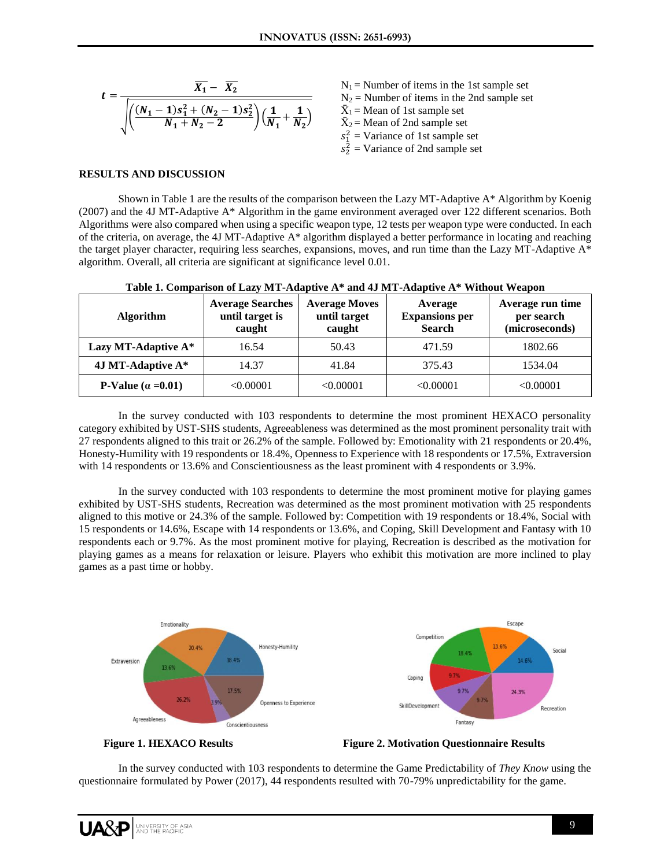$$
t = \frac{\overline{X_1} - \overline{X_2}}{\sqrt{\left(\frac{(N_1 - 1)s_1^2 + (N_2 - 1)s_2^2}{N_1 + N_2 - 2}\right)\left(\frac{1}{N_1} + \frac{1}{N_2}\right)}}
$$

 $N_1$  = Number of items in the 1st sample set  $N_2$  = Number of items in the 2nd sample set  $\bar{X}_1$  = Mean of 1st sample set  $\bar{X}_2$  = Mean of 2nd sample set  $s_1^2$  = Variance of 1st sample set  $s_2^2$  = Variance of 2nd sample set

# **RESULTS AND DISCUSSION**

Shown in Table 1 are the results of the comparison between the Lazy MT-Adaptive A\* Algorithm by Koenig (2007) and the 4J MT-Adaptive A\* Algorithm in the game environment averaged over 122 different scenarios. Both Algorithms were also compared when using a specific weapon type, 12 tests per weapon type were conducted. In each of the criteria, on average, the 4J MT-Adaptive A\* algorithm displayed a better performance in locating and reaching the target player character, requiring less searches, expansions, moves, and run time than the Lazy MT-Adaptive A\* algorithm. Overall, all criteria are significant at significance level 0.01.

| <b>Algorithm</b>          | <b>Average Searches</b><br>until target is<br>caught | <b>Average Moves</b><br>until target<br>caught | Average<br><b>Expansions per</b><br><b>Search</b> | Average run time<br>per search<br>(microseconds) |
|---------------------------|------------------------------------------------------|------------------------------------------------|---------------------------------------------------|--------------------------------------------------|
| Lazy MT-Adaptive A*       | 16.54                                                | 50.43                                          | 471.59                                            | 1802.66                                          |
| 4J MT-Adaptive A*         | 14.37                                                | 41.84                                          | 375.43                                            | 1534.04                                          |
| P-Value $(\alpha = 0.01)$ | <0.00001                                             | < 0.00001                                      | < 0.00001                                         | < 0.00001                                        |

# **Table 1. Comparison of Lazy MT-Adaptive A\* and 4J MT-Adaptive A\* Without Weapon**

In the survey conducted with 103 respondents to determine the most prominent HEXACO personality category exhibited by UST-SHS students, Agreeableness was determined as the most prominent personality trait with 27 respondents aligned to this trait or 26.2% of the sample. Followed by: Emotionality with 21 respondents or 20.4%, Honesty-Humility with 19 respondents or 18.4%, Openness to Experience with 18 respondents or 17.5%, Extraversion with 14 respondents or 13.6% and Conscientiousness as the least prominent with 4 respondents or 3.9%.

In the survey conducted with 103 respondents to determine the most prominent motive for playing games exhibited by UST-SHS students, Recreation was determined as the most prominent motivation with 25 respondents aligned to this motive or 24.3% of the sample. Followed by: Competition with 19 respondents or 18.4%, Social with 15 respondents or 14.6%, Escape with 14 respondents or 13.6%, and Coping, Skill Development and Fantasy with 10 respondents each or 9.7%. As the most prominent motive for playing, Recreation is described as the motivation for playing games as a means for relaxation or leisure. Players who exhibit this motivation are more inclined to play games as a past time or hobby.





 **Figure 1. HEXACO Results Figure 2. Motivation Questionnaire Results**

In the survey conducted with 103 respondents to determine the Game Predictability of *They Know* using the questionnaire formulated by Power (2017), 44 respondents resulted with 70-79% unpredictability for the game.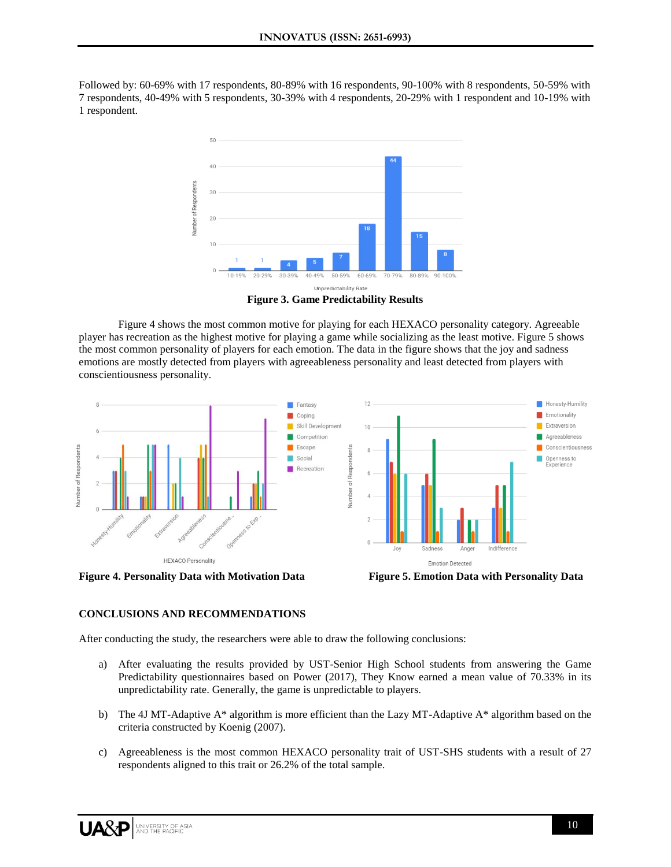Followed by: 60-69% with 17 respondents, 80-89% with 16 respondents, 90-100% with 8 respondents, 50-59% with 7 respondents, 40-49% with 5 respondents, 30-39% with 4 respondents, 20-29% with 1 respondent and 10-19% with 1 respondent.



**Figure 3. Game Predictability Results**

Figure 4 shows the most common motive for playing for each HEXACO personality category. Agreeable player has recreation as the highest motive for playing a game while socializing as the least motive. Figure 5 shows the most common personality of players for each emotion. The data in the figure shows that the joy and sadness emotions are mostly detected from players with agreeableness personality and least detected from players with conscientiousness personality.





**Figure 4. Personality Data with Motivation Data Figure 5. Emotion Data with Personality Data**

# **CONCLUSIONS AND RECOMMENDATIONS**

After conducting the study, the researchers were able to draw the following conclusions:

- a) After evaluating the results provided by UST-Senior High School students from answering the Game Predictability questionnaires based on Power (2017), They Know earned a mean value of 70.33% in its unpredictability rate. Generally, the game is unpredictable to players.
- b) The 4J MT-Adaptive A\* algorithm is more efficient than the Lazy MT-Adaptive A\* algorithm based on the criteria constructed by Koenig (2007).
- c) Agreeableness is the most common HEXACO personality trait of UST-SHS students with a result of 27 respondents aligned to this trait or 26.2% of the total sample.